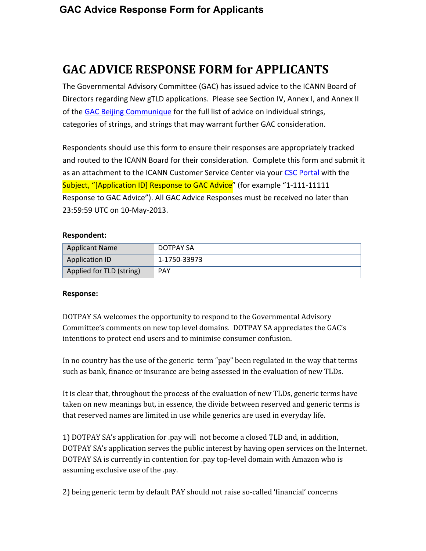# **GAC ADVICE RESPONSE FORM for APPLICANTS**

The Governmental Advisory Committee (GAC) has issued advice to the ICANN Board of Directors regarding New gTLD applications. Please see Section IV, Annex I, and Annex II of the GAC Beijing [Communique](http://www.google.com/url?q=http%3A%2F%2Fwww.icann.org%2Fen%2Fnews%2Fcorrespondence%2Fgac-to-board-18apr13-en.pdf&sa=D&sntz=1&usg=AFQjCNFnTokRbanZHwBG_KPhm8MbSTcgbg) for the full list of advice on individual strings, categories of strings, and strings that may warrant further GAC consideration.

Respondents should use this form to ensure their responses are appropriately tracked and routed to the ICANN Board for their consideration. Complete this form and submit it as an attachment to the ICANN Customer Service Center via your CSC [Portal](https://www.google.com/url?q=https%3A%2F%2Fmyicann.secure.force.com%2F&sa=D&sntz=1&usg=AFQjCNHr2HUdkMcSYpJR4x1_ezWNCi6Mag) with the Subject, "[Application ID] Response to GAC Advice" (for example "1-111-11111 Response to GAC Advice"). All GAC Advice Responses must be received no later than 23:59:59 UTC on 10-May-2013.

#### **Respondent:**

| <b>Applicant Name</b>    | DOTPAY SA    |
|--------------------------|--------------|
| Application ID           | 1-1750-33973 |
| Applied for TLD (string) | <b>PAY</b>   |

#### **Response:**

DOTPAY SA welcomes the opportunity to respond to the Governmental Advisory Committee's comments on new top level domains. DOTPAY SA appreciates the GAC's intentions to protect end users and to minimise consumer confusion.

In no country has the use of the generic term "pay" been regulated in the way that terms such as bank, finance or insurance are being assessed in the evaluation of new TLDs.

It is clear that, throughout the process of the evaluation of new TLDs, generic terms have taken on new meanings but, in essence, the divide between reserved and generic terms is that reserved names are limited in use while generics are used in everyday life.

1) DOTPAY SA's application for .pay will not become a closed TLD and, in addition, DOTPAY SA's application serves the public interest by having open services on the Internet. DOTPAY SA is currently in contention for .pay top-level domain with Amazon who is assuming exclusive use of the .pay.

2) being generic term by default PAY should not raise so-called 'financial' concerns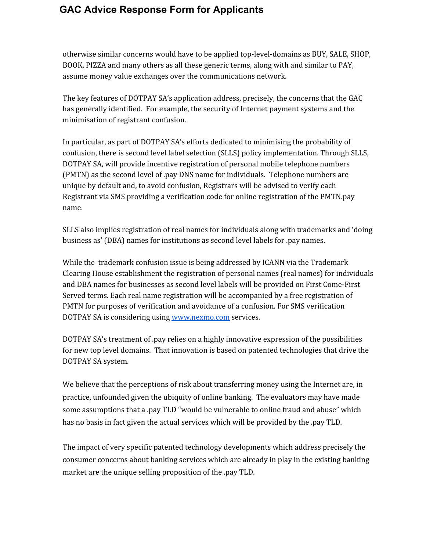### **GAC Advice Response Form for Applicants**

otherwise similar concerns would have to be applied top-level-domains as BUY, SALE, SHOP, BOOK, PIZZA and many others as all these generic terms, along with and similar to PAY, assume money value exchanges over the communications network.

The key features of DOTPAY SA's application address, precisely, the concerns that the GAC has generally identified. For example, the security of Internet payment systems and the minimisation of registrant confusion.

In particular, as part of DOTPAY SA's efforts dedicated to minimising the probability of confusion, there is second level label selection (SLLS) policy implementation. Through SLLS, DOTPAY SA, will provide incentive registration of personal mobile telephone numbers (PMTN) as the second level of .pay DNS name for individuals. Telephone numbers are unique by default and, to avoid confusion, Registrars will be advised to verify each Registrant via SMS providing a verification code for online registration of the PMTN.pay name.

SLLS also implies registration of real names for individuals along with trademarks and 'doing business as' (DBA) names for institutions as second level labels for .pay names.

While the trademark confusion issue is being addressed by ICANN via the Trademark Clearing House establishment the registration of personal names (real names) for individuals and DBA names for businesses as second level labels will be provided on First Come-First Served terms. Each real name registration will be accompanied by a free registration of PMTN for purposes of verification and avoidance of a confusion. For SMS verification DOTPAY SA is considering using [www.nexmo.com](http://www.google.com/url?q=http%3A%2F%2Fwww.nexmo.com&sa=D&sntz=1&usg=AFQjCNEvFb6HaHjjBjX1ZQ6UghcckrYBCg) services.

DOTPAY SA's treatment of .pay relies on a highly innovative expression of the possibilities for new top level domains. That innovation is based on patented technologies that drive the DOTPAY SA system.

We believe that the perceptions of risk about transferring money using the Internet are, in practice, unfounded given the ubiquity of online banking. The evaluators may have made some assumptions that a .pay TLD "would be vulnerable to online fraud and abuse" which has no basis in fact given the actual services which will be provided by the .pay TLD.

The impact of very specific patented technology developments which address precisely the consumer concerns about banking services which are already in play in the existing banking market are the unique selling proposition of the .pay TLD.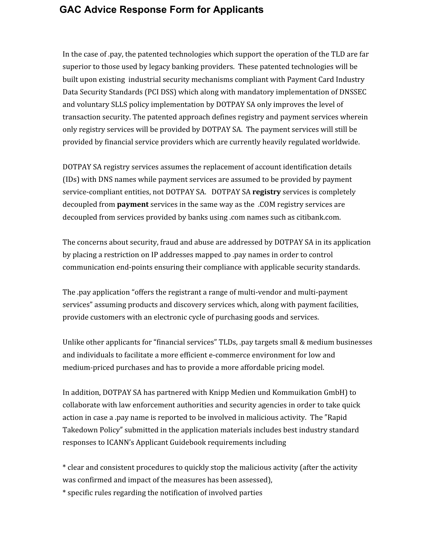#### **GAC Advice Response Form for Applicants**

In the case of .pay, the patented technologies which support the operation of the TLD are far superior to those used by legacy banking providers. These patented technologies will be built upon existing industrial security mechanisms compliant with Payment Card Industry Data Security Standards (PCI DSS) which along with mandatory implementation of DNSSEC and voluntary SLLS policy implementation by DOTPAY SA only improves the level of transaction security. The patented approach defines registry and payment services wherein only registry services will be provided by DOTPAY SA. The payment services will still be provided by financial service providers which are currently heavily regulated worldwide.

DOTPAY SA registry services assumes the replacement of account identification details (IDs) with DNS names while payment services are assumed to be provided by payment service-compliant entities, not DOTPAY SA. DOTPAY SA **registry** services is completely decoupled from **payment** services in the same way as the .COM registry services are decoupled from services provided by banks using .com names such as citibank.com.

The concerns about security, fraud and abuse are addressed by DOTPAY SA in its application by placing a restriction on IP addresses mapped to .pay names in order to control communication end-points ensuring their compliance with applicable security standards.

The .pay application "offers the registrant a range of multi-vendor and multi-payment services" assuming products and discovery services which, along with payment facilities, provide customers with an electronic cycle of purchasing goods and services.

Unlike other applicants for "financial services" TLDs, .pay targets small & medium businesses and individuals to facilitate a more efficient e-commerce environment for low and medium-priced purchases and has to provide a more affordable pricing model.

In addition, DOTPAY SA has partnered with Knipp Medien und Kommuikation GmbH) to collaborate with law enforcement authorities and security agencies in order to take quick action in case a .pay name is reported to be involved in malicious activity. The "Rapid Takedown Policy" submitted in the application materials includes best industry standard responses to ICANN's Applicant Guidebook requirements including

\* clear and consistent procedures to quickly stop the malicious activity (after the activity was confirmed and impact of the measures has been assessed),

\* specific rules regarding the notification of involved parties